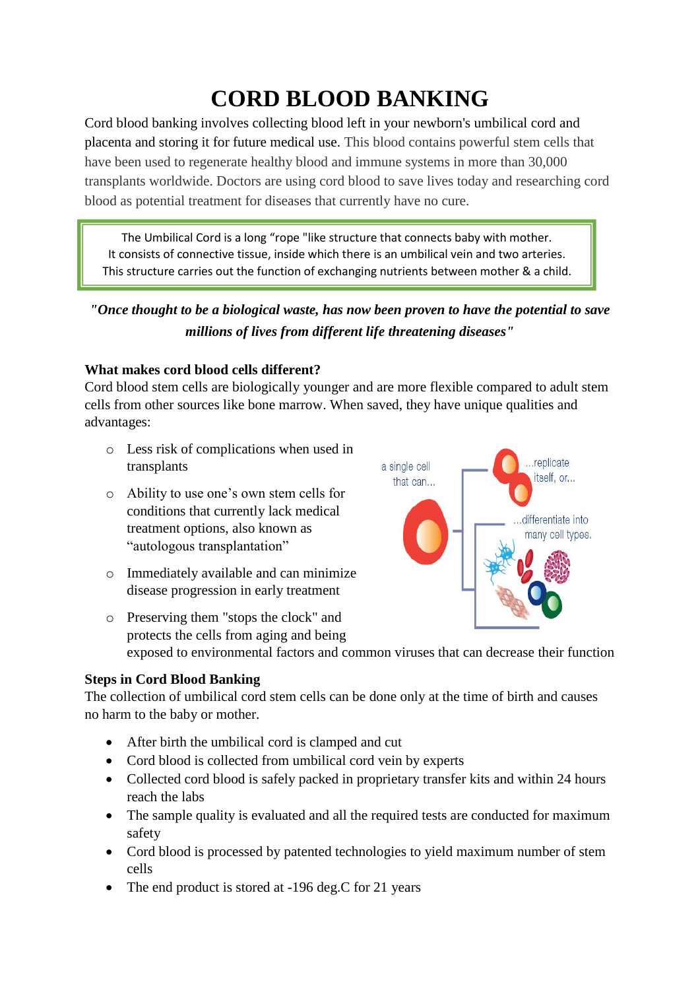# **CORD BLOOD BANKING**

Cord blood banking involves collecting blood left in your newborn's umbilical cord and placenta and storing it for future medical use. This blood contains powerful stem cells that have been used to regenerate healthy blood and immune systems in more than 30,000 transplants worldwide. Doctors are using cord blood to save lives today and researching cord blood as potential treatment for diseases that currently have no cure.

The Umbilical Cord is a long "rope "like structure that connects baby with mother. It consists of connective tissue, inside which there is an umbilical vein and two arteries. This structure carries out the function of exchanging nutrients between mother & a child.

## *"Once thought to be a biological waste, has now been proven to have the potential to save millions of lives from different life threatening diseases"*

#### **What makes cord blood cells different?**

Cord blood stem cells are biologically younger and are more flexible compared to adult stem cells from other sources like bone marrow. When saved, they have unique qualities and advantages:

- o Less risk of complications when used in transplants
- o Ability to use one's own stem cells for conditions that currently lack medical treatment options, also known as "autologous transplantation"
- o Immediately available and can minimize disease progression in early treatment



o Preserving them "stops the clock" and protects the cells from aging and being exposed to environmental factors and common viruses that can decrease their function

### **Steps in Cord Blood Banking**

The collection of umbilical cord stem cells can be done only at the time of birth and causes no harm to the baby or mother.

- After birth the umbilical cord is clamped and cut
- Cord blood is collected from umbilical cord vein by experts
- Collected cord blood is safely packed in proprietary transfer kits and within 24 hours reach the labs
- The sample quality is evaluated and all the required tests are conducted for maximum safety
- Cord blood is processed by patented technologies to yield maximum number of stem cells
- The end product is stored at -196 deg.C for 21 years